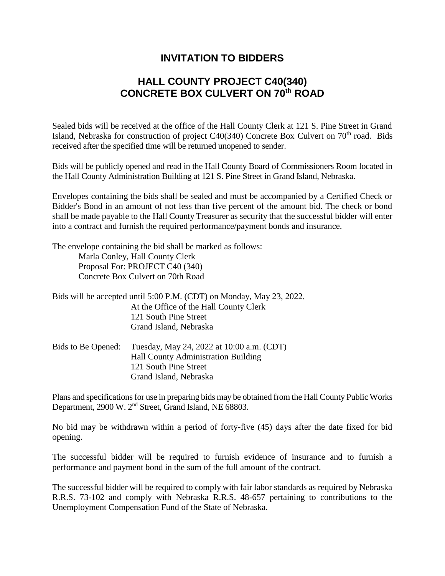## **INVITATION TO BIDDERS**

## **HALL COUNTY PROJECT C40(340) CONCRETE BOX CULVERT ON 70th ROAD**

Sealed bids will be received at the office of the Hall County Clerk at 121 S. Pine Street in Grand Island, Nebraska for construction of project  $C40(340)$  Concrete Box Culvert on  $70<sup>th</sup>$  road. Bids received after the specified time will be returned unopened to sender.

Bids will be publicly opened and read in the Hall County Board of Commissioners Room located in the Hall County Administration Building at 121 S. Pine Street in Grand Island, Nebraska.

Envelopes containing the bids shall be sealed and must be accompanied by a Certified Check or Bidder's Bond in an amount of not less than five percent of the amount bid. The check or bond shall be made payable to the Hall County Treasurer as security that the successful bidder will enter into a contract and furnish the required performance/payment bonds and insurance.

The envelope containing the bid shall be marked as follows: Marla Conley, Hall County Clerk Proposal For: PROJECT C40 (340) Concrete Box Culvert on 70th Road

| Bids will be accepted until 5:00 P.M. (CDT) on Monday, May 23, 2022. |
|----------------------------------------------------------------------|
| At the Office of the Hall County Clerk                               |
| 121 South Pine Street                                                |
| Grand Island, Nebraska                                               |
|                                                                      |

| Bids to Be Opened: | Tuesday, May 24, 2022 at 10:00 a.m. (CDT)  |
|--------------------|--------------------------------------------|
|                    | <b>Hall County Administration Building</b> |
|                    | 121 South Pine Street                      |
|                    | Grand Island, Nebraska                     |

Plans and specifications for use in preparing bids may be obtained from the Hall County Public Works Department, 2900 W. 2<sup>nd</sup> Street, Grand Island, NE 68803.

No bid may be withdrawn within a period of forty-five (45) days after the date fixed for bid opening.

The successful bidder will be required to furnish evidence of insurance and to furnish a performance and payment bond in the sum of the full amount of the contract.

The successful bidder will be required to comply with fair labor standards as required by Nebraska R.R.S. 73-102 and comply with Nebraska R.R.S. 48-657 pertaining to contributions to the Unemployment Compensation Fund of the State of Nebraska.